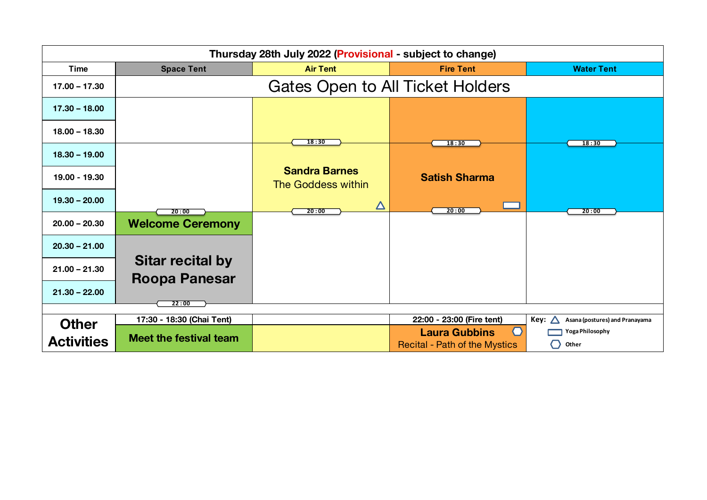| Thursday 28th July 2022 (Provisional - subject to change) |                                                 |                                                   |                                                                |                                                                  |
|-----------------------------------------------------------|-------------------------------------------------|---------------------------------------------------|----------------------------------------------------------------|------------------------------------------------------------------|
| Time                                                      | <b>Space Tent</b>                               | <b>Air Tent</b>                                   | <b>Fire Tent</b>                                               | <b>Water Tent</b>                                                |
| $17.00 - 17.30$                                           |                                                 | <b>Gates Open to All Ticket Holders</b>           |                                                                |                                                                  |
| $17.30 - 18.00$                                           |                                                 |                                                   |                                                                |                                                                  |
| $18.00 - 18.30$                                           |                                                 | 18:30                                             | 18:30                                                          | 18:30                                                            |
| $18.30 - 19.00$                                           |                                                 |                                                   |                                                                |                                                                  |
| 19.00 - 19.30                                             |                                                 | <b>Sandra Barnes</b><br><b>The Goddess within</b> | <b>Satish Sharma</b>                                           |                                                                  |
| $19.30 - 20.00$                                           | 20:00                                           | $\Delta$<br>20:00                                 | 20:00                                                          | 20:00                                                            |
| $20.00 - 20.30$                                           | <b>Welcome Ceremony</b>                         |                                                   |                                                                |                                                                  |
| $20.30 - 21.00$                                           |                                                 |                                                   |                                                                |                                                                  |
| $21.00 - 21.30$                                           | <b>Sitar recital by</b><br><b>Roopa Panesar</b> |                                                   |                                                                |                                                                  |
| $21.30 - 22.00$                                           | 22:00                                           |                                                   |                                                                |                                                                  |
|                                                           |                                                 |                                                   |                                                                |                                                                  |
| <b>Other</b>                                              | 17:30 - 18:30 (Chai Tent)                       |                                                   | 22:00 - 23:00 (Fire tent)<br>$\bigcap$<br><b>Laura Gubbins</b> | Key:<br>Asana (postures) and Pranayama<br><b>Yoga Philosophy</b> |
| <b>Activities</b>                                         | <b>Meet the festival team</b>                   |                                                   | <b>Recital - Path of the Mystics</b>                           | Other<br>0                                                       |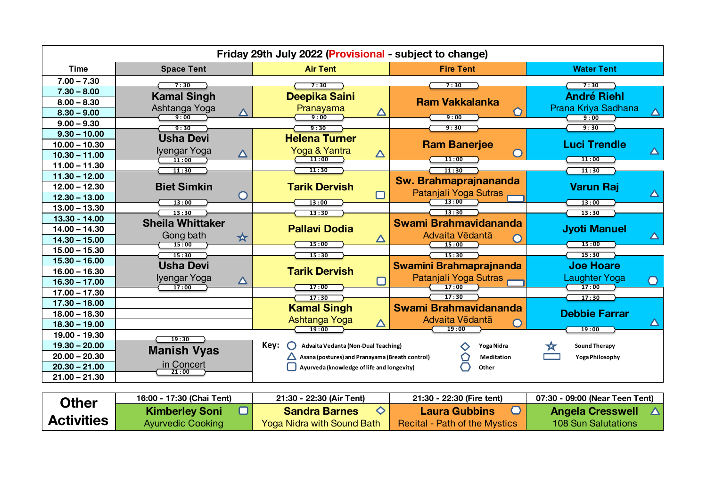| Friday 29th July 2022 (Provisional - subject to change) |                                                |                                                 |                                |                                                            |
|---------------------------------------------------------|------------------------------------------------|-------------------------------------------------|--------------------------------|------------------------------------------------------------|
| <b>Time</b>                                             | <b>Space Tent</b>                              | <b>Air Tent</b>                                 | <b>Fire Tent</b>               | <b>Water Tent</b>                                          |
| $7.00 - 7.30$                                           | 7:30                                           | 7:30                                            | 7:30                           | 7:30                                                       |
| $7.30 - 8.00$                                           | <b>Kamal Singh</b>                             | Deepika Saini                                   |                                | <b>André Riehl</b>                                         |
| $8.00 - 8.30$                                           |                                                |                                                 | <b>Ram Vakkalanka</b>          |                                                            |
| $8.30 - 9.00$                                           | Ashtanga Yoga<br>$\overline{\Delta}$<br>9:00   | Pranayama<br>$\Delta$<br>9:00                   | 9:00                           | Prana Kriya Sadhana<br>$\overline{\blacktriangle}$<br>9:00 |
| $9.00 - 9.30$                                           | 9:30                                           | 9:30                                            | 9:30                           | 9:30                                                       |
| $9.30 - 10.00$                                          | <b>Usha Devi</b>                               | <b>Helena Turner</b>                            |                                |                                                            |
| $10.00 - 10.30$                                         |                                                |                                                 | <b>Ram Banerjee</b>            | <b>Luci Trendle</b>                                        |
| $10.30 - 11.00$                                         | Iyengar Yoga<br>$\boldsymbol{\Delta}$<br>11:00 | Yoga & Yantra<br>$\boldsymbol{\Delta}$<br>11:00 | $\blacksquare$<br>11:00        | $\Delta$<br>11:00                                          |
| $11.00 - 11.30$                                         | 11:30                                          | 11:30                                           | 11:30                          | 11:30                                                      |
| $11.30 - 12.00$                                         |                                                |                                                 | Sw. Brahmaprajnananda          |                                                            |
| $12.00 - 12.30$                                         | <b>Biet Simkin</b>                             | <b>Tarik Dervish</b>                            |                                | <b>Varun Raj</b>                                           |
| $12.30 - 13.00$                                         | $\cup$<br>13:00                                | $\Box$<br>13:00                                 | Patanjali Yoga Sutras<br>13:00 | $\Delta$<br>13:00                                          |
| $13.00 - 13.30$                                         | 13:30                                          | 13:30                                           | 13:30                          | 13:30                                                      |
| 13.30 - 14.00                                           | <b>Sheila Whittaker</b>                        |                                                 | Swami Brahmavidananda          |                                                            |
| $14.00 - 14.30$                                         |                                                | <b>Pallavi Dodia</b>                            |                                | <b>Jyoti Manuel</b>                                        |
| $14.30 - 15.00$                                         | Gong bath<br>★<br>15:00                        | $\Delta$<br>15:00                               | Advaita Vēdantā<br>15:00       | $\Delta$<br>15:00                                          |
| $15.00 - 15.30$                                         | 15:30                                          | 15:30                                           | 15:30                          | 15:30                                                      |
| $15.30 - 16.00$                                         | <b>Usha Devi</b>                               |                                                 | <b>Swamini Brahmaprajnanda</b> | <b>Joe Hoare</b>                                           |
| $16.00 - 16.30$                                         |                                                | <b>Tarik Dervish</b>                            |                                |                                                            |
| $16.30 - 17.00$                                         | Iyengar Yoga<br>$\Delta$<br>17:00              | 17:00                                           | Patanjali Yoga Sutras<br>17:00 | <b>Laughter Yoga</b><br>0<br>17:00                         |
| $17.00 - 17.30$                                         |                                                | 17:30                                           | 17:30                          | 17:30                                                      |
| $17.30 - 18.00$                                         |                                                | <b>Kamal Singh</b>                              | Swami Brahmavidananda          |                                                            |
| $18.00 - 18.30$                                         |                                                |                                                 |                                | <b>Debbie Farrar</b>                                       |
| $18.30 - 19.00$                                         |                                                | Ashtanga Yoga<br>$\Delta$<br>19:00              | Advaita Vēdantā<br>19:00       | △<br>19:00                                                 |
| 19.00 - 19.30                                           | 19:30                                          |                                                 |                                |                                                            |
| $19.30 - 20.00$                                         | <b>Manish Vyas</b>                             | Key:<br>Advaita Vedanta (Non-Dual Teaching)     | Yoga Nidra<br>⌒                | <b>Sound Therapy</b>                                       |
| $20.00 - 20.30$                                         |                                                | Asana (postures) and Pranayama (Breath control) | Meditation                     | Yoga Philosophy                                            |
| $20.30 - 21.00$                                         | in Concert<br>21:00                            | Ayurveda (knowledge of life and longevity)      | Other                          |                                                            |
| $21.00 - 21.30$                                         |                                                |                                                 |                                |                                                            |

| Other             | 16:00 - 17:30 (Chai Tent) | 21:30 - 22:30 (Air Tent)          | 21:30 - 22:30 (Fire tent)            | 07:30 - 09:00 (Near Teen Tent) |
|-------------------|---------------------------|-----------------------------------|--------------------------------------|--------------------------------|
|                   | <b>Kimberley Soni</b>     | <b>Sandra Barnes</b>              | Laura Gubbins                        | <b>Angela Cresswell</b>        |
| <b>Activities</b> | <b>Ayurvedic Cooking</b>  | <b>Yoga Nidra with Sound Bath</b> | <b>Recital - Path of the Mystics</b> | 108 Sun Salutations            |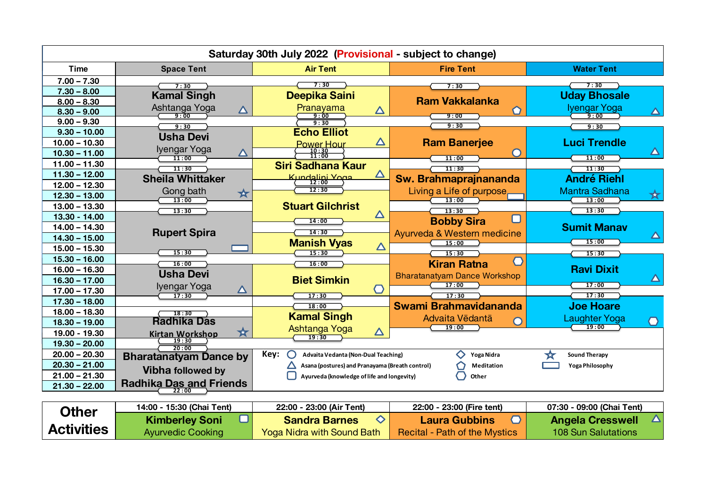| Saturday 30th July 2022 (Provisional - subject to change) |                                                |                                                 |                                                     |                                               |
|-----------------------------------------------------------|------------------------------------------------|-------------------------------------------------|-----------------------------------------------------|-----------------------------------------------|
| <b>Time</b>                                               | <b>Space Tent</b>                              | <b>Air Tent</b>                                 | <b>Fire Tent</b>                                    | <b>Water Tent</b>                             |
| $7.00 - 7.30$                                             | 7:30                                           | 7:30                                            | 7:30                                                | 7:30                                          |
| $7.30 - 8.00$                                             | <b>Kamal Singh</b>                             | Deepika Saini                                   |                                                     | <b>Uday Bhosale</b>                           |
| $8.00 - 8.30$                                             |                                                |                                                 | <b>Ram Vakkalanka</b>                               |                                               |
| $8.30 - 9.00$                                             | Ashtanga Yoga<br>$\boldsymbol{\Delta}$<br>9:00 | Pranayama<br>$\boldsymbol{\Delta}$<br>9:00      | 9:00                                                | Iyengar Yoga<br>$\boldsymbol{\wedge}$<br>9:00 |
| $9.00 - 9.30$                                             | 9:30                                           | 9:30                                            | 9:30                                                | 9:30                                          |
| $9.30 - 10.00$                                            | <b>Usha Devi</b>                               | <b>Echo Elliot</b>                              |                                                     |                                               |
| $10.00 - 10.30$                                           |                                                | $\Delta$<br><b>Power Hour</b>                   | <b>Ram Banerjee</b>                                 | <b>Luci Trendle</b>                           |
| $10.30 - 11.00$                                           | Iyengar Yoga<br>$\bf \Delta$<br>11:00          | $\frac{10:30}{11:00}$                           | 11:00                                               | $\blacktriangle$<br>11:00                     |
| $11.00 - 11.30$                                           | 11:30                                          | <b>Siri Sadhana Kaur</b>                        | 11:30                                               | 11:30                                         |
| $11.30 - 12.00$                                           | <b>Sheila Whittaker</b>                        | △<br>Kundalini Yoga<br>(12:00                   | Sw. Brahmaprajnananda                               | <b>André Riehl</b>                            |
| $12.00 - 12.30$                                           |                                                | 12:30                                           |                                                     |                                               |
| $12.30 - 13.00$                                           | Gong bath<br>★<br>13:00                        |                                                 | Living a Life of purpose<br>13:00                   | <b>Mantra Sadhana</b><br>☆<br>13:00           |
| $13.00 - 13.30$                                           | 13:30                                          | <b>Stuart Gilchrist</b>                         | 13:30                                               | 13:30                                         |
| 13.30 - 14.00                                             |                                                | $\Delta$<br>14:00                               | <b>Bobby Sira</b>                                   |                                               |
| $14.00 - 14.30$                                           |                                                | 14:30                                           |                                                     | <b>Sumit Manav</b>                            |
| $14.30 - 15.00$                                           | <b>Rupert Spira</b>                            | <b>Manish Vyas</b>                              | Ayurveda & Western medicine<br>15:00                | $\Delta$<br>15:00                             |
| $15.00 - 15.30$                                           | 15:30                                          | $\Delta$<br>15:30                               | 15:30                                               | 15:30                                         |
| $15.30 - 16.00$                                           | 16:00                                          | 16:00                                           | $\langle \, \cdot \, \rangle$<br><b>Kiran Ratna</b> |                                               |
| $16.00 - 16.30$                                           | <b>Usha Devi</b>                               |                                                 |                                                     | <b>Ravi Dixit</b>                             |
| $16.30 - 17.00$                                           |                                                | <b>Biet Simkin</b>                              | <b>Bharatanatyam Dance Workshop</b><br>17:00        | $\boldsymbol{\Delta}$<br>17:00                |
| $17.00 - 17.30$                                           | Iyengar Yoga<br>Δ<br>17:30                     | $\bigcirc$                                      | 17:30                                               | 17:30                                         |
| $17.30 - 18.00$                                           |                                                | 17:30<br>18:00                                  | Swami Brahmavidananda                               | <b>Joe Hoare</b>                              |
| $18.00 - 18.30$                                           | 18:30                                          | <b>Kamal Singh</b>                              |                                                     |                                               |
| $18.30 - 19.00$                                           | <b>Radhika Das</b>                             |                                                 | Advaita Vēdantā<br>19:00                            | Laughter Yoga<br>19:00                        |
| 19.00 - 19.30                                             | ☆<br>Kirtan Workshop                           | Ashtanga Yoga<br>$\Delta$<br>19:30              |                                                     |                                               |
| $19.30 - 20.00$                                           | 20:00                                          |                                                 |                                                     |                                               |
| $20.00 - 20.30$                                           | <b>Bharatanatyam Dance by</b>                  | Key:<br>Advaita Vedanta (Non-Dual Teaching)     | Yoga Nidra                                          | <b>Sound Therapy</b><br>☆                     |
| $20.30 - 21.00$                                           |                                                | Asana (postures) and Pranayama (Breath control) | <b>Meditation</b>                                   | <b>Yoga Philosophy</b>                        |
| $21.00 - 21.30$                                           | <b>Vibha followed by</b>                       | Ayurveda (knowledge of life and longevity)      | Other                                               |                                               |
| $21.30 - 22.00$                                           | <b>Radhika Das and Friends</b>                 |                                                 |                                                     |                                               |
| $\mathbf{L}$                                              | 14:00 - 15:30 (Chai Tent)                      | 22:00 - 23:00 (Air Tent)                        | 22:00 - 23:00 (Fire tent)                           | 07:30 - 09:00 (Chai Tent)                     |

| <b>Other</b>      | 14:00 - 15:30 (Chai Tent) | 22:00 - 23:00 (Air Tent)          | 22:00 - 23:00 (Fire tent)     | 07:30 - 09:00 (Chai Tent) |
|-------------------|---------------------------|-----------------------------------|-------------------------------|---------------------------|
|                   | <b>Kimberley Soni</b>     | <b>Sandra Barnes</b>              | Laura Gubbins                 | <b>Angela Cresswell</b>   |
| <b>Activities</b> | <b>Ayurvedic Cooking</b>  | <b>Yoga Nidra with Sound Bath</b> | Recital - Path of the Mystics | 108 Sun Salutations       |